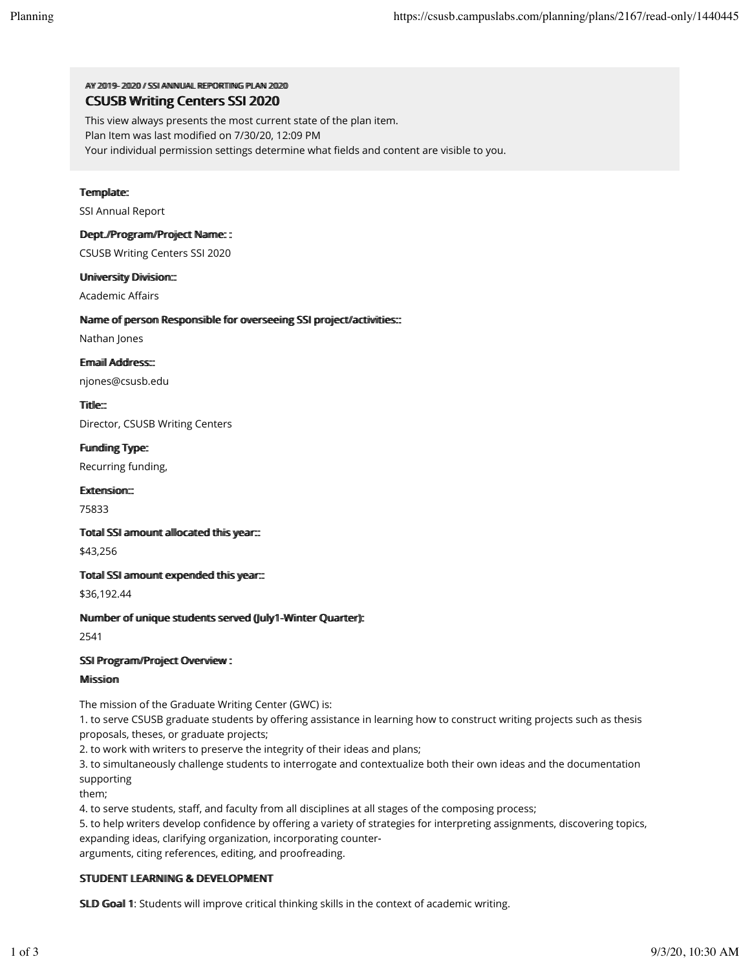AY 2019-2020 / SSI ANNUAL REPORTIING PILAN 2020 CSUSB Writing Centers SSI 2020

This view always presents the most current state of the plan item. Plan Item was last modified on 7/30/20, 12:09 PM Your individual permission settings determine what fields and content are visible to you.

# Template:

SSI Annual Report

## Dept.//Programv/Projject Name: :

CSUSB Writing Centers SSI 2020

## Umiiversiity Diiviisiiom:::

**Academic Affairs** 

# Name of person Responsible for overseeing SSI project/activities:::

Nathan Jones

Ermaiil Address:::

njones@csusb.edu

Tiitlle::

Director, CSUSB Writing Centers

Fundiing Type:

Recurring funding,

## Extension::

75833

## Totall SSI armount alllocated thiis year:::

\$43,256

## Totall SSI armount expended thiis year:::

\$36,192.44

## Nummber of umique students served (Jully1-Winter Quarter):

2541

## SSII Program/Project Overview :

## Miissiion

The mission of the Graduate Writing Center (GWC) is:

1. to serve CSUSB graduate students by offering assistance in learning how to construct writing projects such as thesis proposals, theses, or graduate projects;

2. to work with writers to preserve the integrity of their ideas and plans;

3. to simultaneously challenge students to interrogate and contextualize both their own ideas and the documentation supporting

them;

4. to serve students, staff, and faculty from all disciplines at all stages of the composing process;

5. to help writers develop confidence by offering a variety of strategies for interpreting assignments, discovering topics, expanding ideas, clarifying organization, incorporating counter‐

arguments, citing references, editing, and proofreading.

# STUDENT LEARNING & DEVELOPMENT

SLD Goal 1: Students will improve critical thinking skills in the context of academic writing.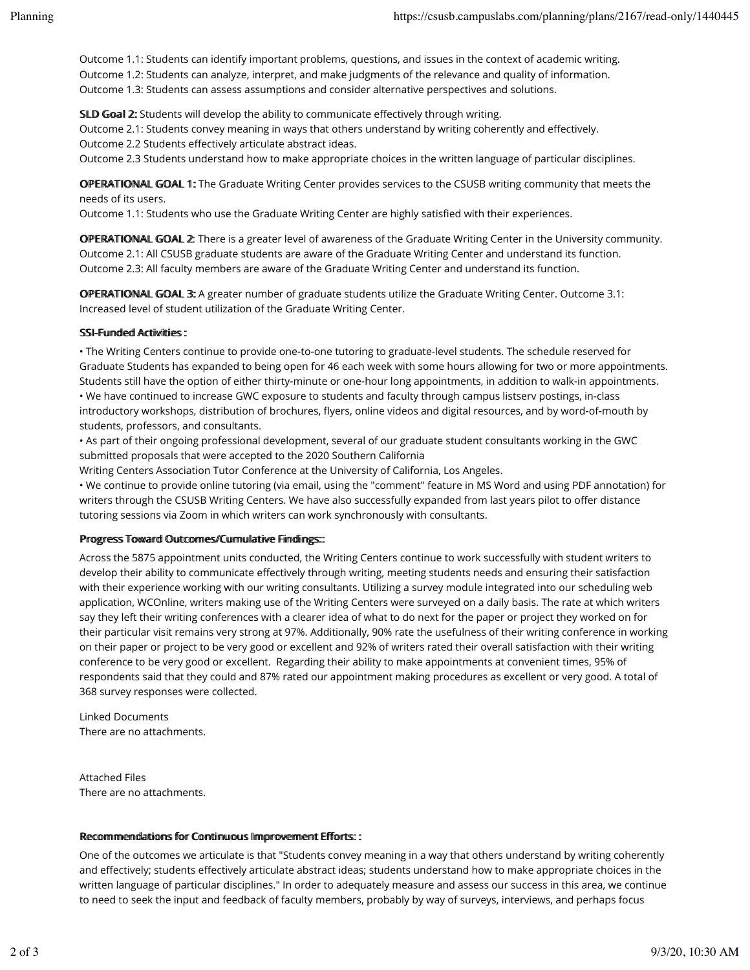Outcome 1.1: Students can identify important problems, questions, and issues in the context of academic writing. Outcome 1.2: Students can analyze, interpret, and make judgments of the relevance and quality of information. Outcome 1.3: Students can assess assumptions and consider alternative perspectives and solutions.

SLD Goal 2: Students will develop the ability to communicate effectively through writing.

Outcome 2.1: Students convey meaning in ways that others understand by writing coherently and effectively.

Outcome 2.2 Students effectively articulate abstract ideas.

Outcome 2.3 Students understand how to make appropriate choices in the written language of particular disciplines.

OPERATIONAL GOAL 1: The Graduate Writing Center provides services to the CSUSB writing community that meets the needs of its users.

Outcome 1.1: Students who use the Graduate Writing Center are highly satisfied with their experiences.

**OPERATIONAL GOAL 2:** There is a greater level of awareness of the Graduate Writing Center in the University community. Outcome 2.1: All CSUSB graduate students are aware of the Graduate Writing Center and understand its function. Outcome 2.3: All faculty members are aware of the Graduate Writing Center and understand its function.

OPERATIONAL GOAL 3: A greater number of graduate students utilize the Graduate Writing Center. Outcome 3.1: Increased level of student utilization of the Graduate Writing Center.

## SSI-Fuunded Actiiviitiies:

• The Writing Centers continue to provide one-to-one tutoring to graduate-level students. The schedule reserved for Graduate Students has expanded to being open for 46 each week with some hours allowing for two or more appointments. Students still have the option of either thirty‐minute or one‐hour long appointments, in addition to walk‐in appointments.

• We have continued to increase GWC exposure to students and faculty through campus listserv postings, in-class introductory workshops, distribution of brochures, flyers, online videos and digital resources, and by word-of-mouth by students, professors, and consultants.

• As part of their ongoing professional development, several of our graduate student consultants working in the GWC submitted proposals that were accepted to the 2020 Southern California

Writing Centers Association Tutor Conference at the University of California, Los Angeles.

• We continue to provide online tutoring (via email, using the "comment" feature in MS Word and using PDF annotation) for writers through the CSUSB Writing Centers. We have also successfully expanded from last years pilot to offer distance tutoring sessions via Zoom in which writers can work synchronously with consultants.

## Progress Toward Outtcomes//Cummullattive Fiindlings:::

Across the 5875 appointment units conducted, the Writing Centers continue to work successfully with student writers to develop their ability to communicate effectively through writing, meeting students needs and ensuring their satisfaction with their experience working with our writing consultants. Utilizing a survey module integrated into our scheduling web application, WCOnline, writers making use of the Writing Centers were surveyed on a daily basis. The rate at which writers say they left their writing conferences with a clearer idea of what to do next for the paper or project they worked on for their particular visit remains very strong at 97%. Additionally, 90% rate the usefulness of their writing conference in working on their paper or project to be very good or excellent and 92% of writers rated their overall satisfaction with their writing conference to be very good or excellent. Regarding their ability to make appointments at convenient times, 95% of respondents said that they could and 87% rated our appointment making procedures as excellent or very good. A total of 368 survey responses were collected.

Linked Documents There are no attachments.

Attached Files There are no attachments.

## Recommendations for Continuous Improvement Efforts::

One of the outcomes we articulate is that "Students convey meaning in a way that others understand by writing coherently and effectively; students effectively articulate abstract ideas; students understand how to make appropriate choices in the written language of particular disciplines." In order to adequately measure and assess our success in this area, we continue to need to seek the input and feedback of faculty members, probably by way of surveys, interviews, and perhaps focus